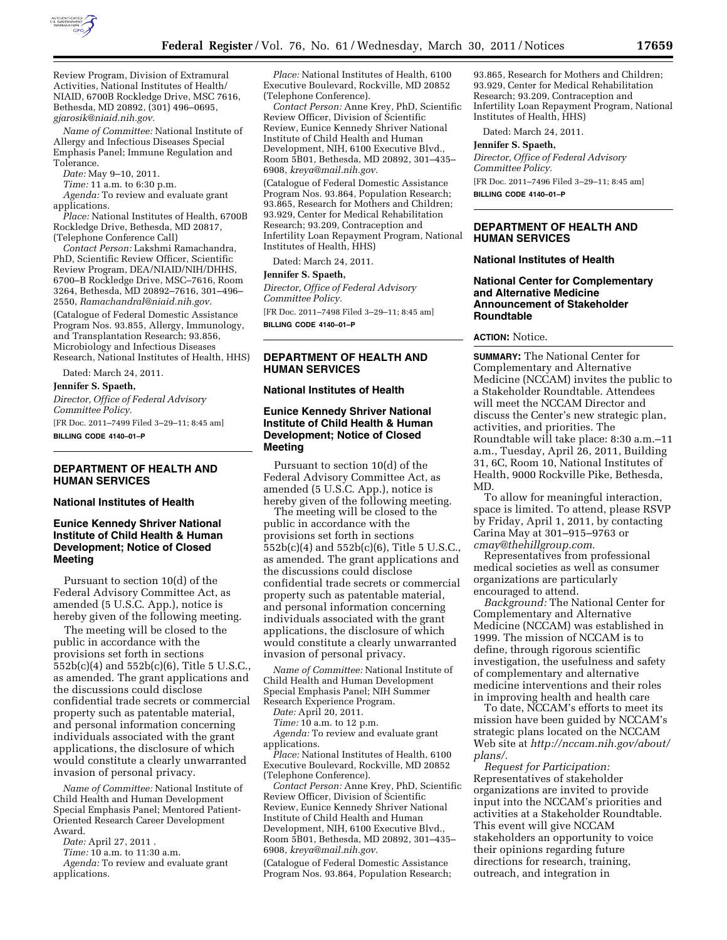

Review Program, Division of Extramural Activities, National Institutes of Health/ NIAID, 6700B Rockledge Drive, MSC 7616, Bethesda, MD 20892, (301) 496–0695, *[gjarosik@niaid.nih.gov.](mailto:gjarosik@niaid.nih.gov)* 

*Name of Committee:* National Institute of Allergy and Infectious Diseases Special Emphasis Panel; Immune Regulation and Tolerance.

*Date:* May 9–10, 2011.

*Time:* 11 a.m. to 6:30 p.m.

*Agenda:* To review and evaluate grant applications.

*Place:* National Institutes of Health, 6700B Rockledge Drive, Bethesda, MD 20817, (Telephone Conference Call)

*Contact Person:* Lakshmi Ramachandra, PhD, Scientific Review Officer, Scientific Review Program, DEA/NIAID/NIH/DHHS, 6700–B Rockledge Drive, MSC–7616, Room 3264, Bethesda, MD 20892–7616, 301–496– 2550, *[Ramachandral@niaid.nih.gov.](mailto:Ramachandral@niaid.nih.gov)*  (Catalogue of Federal Domestic Assistance Program Nos. 93.855, Allergy, Immunology, and Transplantation Research; 93.856, Microbiology and Infectious Diseases Research, National Institutes of Health, HHS)

Dated: March 24, 2011.

**Jennifer S. Spaeth,** 

*Director, Office of Federal Advisory Committee Policy.* 

[FR Doc. 2011–7499 Filed 3–29–11; 8:45 am] **BILLING CODE 4140–01–P** 

# **DEPARTMENT OF HEALTH AND HUMAN SERVICES**

## **National Institutes of Health**

## **Eunice Kennedy Shriver National Institute of Child Health & Human Development; Notice of Closed Meeting**

Pursuant to section 10(d) of the Federal Advisory Committee Act, as amended (5 U.S.C. App.), notice is hereby given of the following meeting.

The meeting will be closed to the public in accordance with the provisions set forth in sections 552b(c)(4) and 552b(c)(6), Title 5 U.S.C., as amended. The grant applications and the discussions could disclose confidential trade secrets or commercial property such as patentable material, and personal information concerning individuals associated with the grant applications, the disclosure of which would constitute a clearly unwarranted invasion of personal privacy.

*Name of Committee:* National Institute of Child Health and Human Development Special Emphasis Panel; Mentored Patient-Oriented Research Career Development Award.

*Date:* April 27, 2011 .

*Time:* 10 a.m. to 11:30 a.m.

*Agenda:* To review and evaluate grant applications.

*Place:* National Institutes of Health, 6100 Executive Boulevard, Rockville, MD 20852 (Telephone Conference).

*Contact Person:* Anne Krey, PhD, Scientific Review Officer, Division of Scientific Review, Eunice Kennedy Shriver National Institute of Child Health and Human Development, NIH, 6100 Executive Blvd., Room 5B01, Bethesda, MD 20892, 301–435– 6908, *[kreya@mail.nih.gov.](mailto:kreya@mail.nih.gov)* 

(Catalogue of Federal Domestic Assistance Program Nos. 93.864, Population Research; 93.865, Research for Mothers and Children; 93.929, Center for Medical Rehabilitation Research; 93.209, Contraception and Infertility Loan Repayment Program, National Institutes of Health, HHS)

Dated: March 24, 2011.

#### **Jennifer S. Spaeth,**

*Director, Office of Federal Advisory Committee Policy.*  [FR Doc. 2011–7498 Filed 3–29–11; 8:45 am]

**BILLING CODE 4140–01–P** 

# **DEPARTMENT OF HEALTH AND HUMAN SERVICES**

### **National Institutes of Health**

## **Eunice Kennedy Shriver National Institute of Child Health & Human Development; Notice of Closed Meeting**

Pursuant to section 10(d) of the Federal Advisory Committee Act, as amended (5 U.S.C. App.), notice is hereby given of the following meeting.

The meeting will be closed to the public in accordance with the provisions set forth in sections 552b(c)(4) and 552b(c)(6), Title 5 U.S.C., as amended. The grant applications and the discussions could disclose confidential trade secrets or commercial property such as patentable material, and personal information concerning individuals associated with the grant applications, the disclosure of which would constitute a clearly unwarranted invasion of personal privacy.

*Name of Committee:* National Institute of Child Health and Human Development Special Emphasis Panel; NIH Summer Research Experience Program.

*Date:* April 20, 2011.

*Time:* 10 a.m. to 12 p.m.

*Agenda:* To review and evaluate grant applications.

*Place:* National Institutes of Health, 6100 Executive Boulevard, Rockville, MD 20852 (Telephone Conference).

*Contact Person:* Anne Krey, PhD, Scientific Review Officer, Division of Scientific Review, Eunice Kennedy Shriver National Institute of Child Health and Human Development, NIH, 6100 Executive Blvd., Room 5B01, Bethesda, MD 20892, 301–435– 6908, *[kreya@mail.nih.gov.](mailto:kreya@mail.nih.gov)* 

(Catalogue of Federal Domestic Assistance Program Nos. 93.864, Population Research;

93.865, Research for Mothers and Children; 93.929, Center for Medical Rehabilitation Research; 93.209, Contraception and Infertility Loan Repayment Program, National Institutes of Health, HHS)

Dated: March 24, 2011.

**Jennifer S. Spaeth,** 

*Director, Office of Federal Advisory Committee Policy.*  [FR Doc. 2011–7496 Filed 3–29–11; 8:45 am]

**BILLING CODE 4140–01–P** 

### **DEPARTMENT OF HEALTH AND HUMAN SERVICES**

### **National Institutes of Health**

## **National Center for Complementary and Alternative Medicine Announcement of Stakeholder Roundtable**

### **ACTION:** Notice.

**SUMMARY:** The National Center for Complementary and Alternative Medicine (NCCAM) invites the public to a Stakeholder Roundtable. Attendees will meet the NCCAM Director and discuss the Center's new strategic plan, activities, and priorities. The Roundtable will take place: 8:30 a.m.–11 a.m., Tuesday, April 26, 2011, Building 31, 6C, Room 10, National Institutes of Health, 9000 Rockville Pike, Bethesda, MD.

To allow for meaningful interaction, space is limited. To attend, please RSVP by Friday, April 1, 2011, by contacting Carina May at 301–915–9763 or *[cmay@thehillgroup.com.](mailto:cmay@thehillgroup.com)* 

Representatives from professional medical societies as well as consumer organizations are particularly encouraged to attend.

*Background:* The National Center for Complementary and Alternative Medicine (NCCAM) was established in 1999. The mission of NCCAM is to define, through rigorous scientific investigation, the usefulness and safety of complementary and alternative medicine interventions and their roles in improving health and health care

To date, NCCAM's efforts to meet its mission have been guided by NCCAM's strategic plans located on the NCCAM Web site at *[http://nccam.nih.gov/about/](http://nccam.nih.gov/about/plans/) [plans/.](http://nccam.nih.gov/about/plans/)* 

*Request for Participation:*  Representatives of stakeholder organizations are invited to provide input into the NCCAM's priorities and activities at a Stakeholder Roundtable. This event will give NCCAM stakeholders an opportunity to voice their opinions regarding future directions for research, training, outreach, and integration in